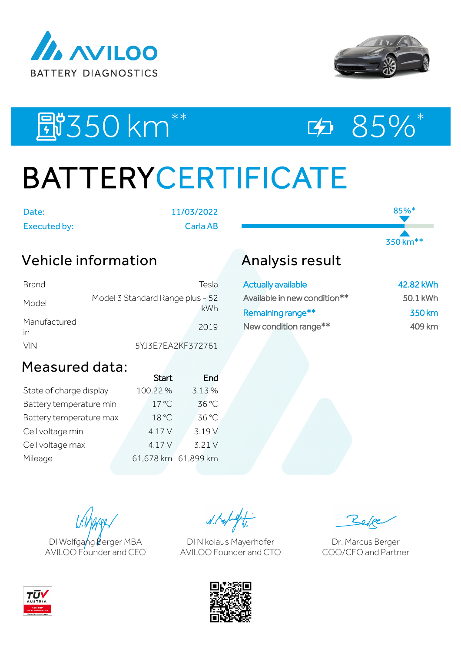



85%\*

350 km\*\*

# 图550 km<sup>\*\*</sup> 95%\*

# BATTERYCERTIFICATE

Date: 11/03/2022

Executed by: Carla AB

### Vehicle information

| Brand              | Tesla                                   |
|--------------------|-----------------------------------------|
| Model              | Model 3 Standard Range plus - 52<br>kWh |
| Manufactured<br>in | 2019                                    |
| <b>VIN</b>         | 5YJ3E7EA2KF372761                       |

## Analysis result

| <b>Actually available</b>    | 42.82 kWh |
|------------------------------|-----------|
| Available in new condition** | 50.1 kWh  |
| Remaining range**            | 350 km    |
| New condition range**        | 409 km    |

### Measured data:

|                         | <b>Start</b>        | End    |
|-------------------------|---------------------|--------|
| State of charge display | 100.22%             | 3.13%  |
| Battery temperature min | $17^{\circ}$ C      | 36 °C  |
| Battery temperature max | 18 °C               | 36 °C  |
| Cell voltage min        | 4.17 V              | 3.19 V |
| Cell voltage max        | 4.17 V              | 3.21V  |
| Mileage                 | 61,678 km 61,899 km |        |
|                         |                     |        |

DI Wolfgang Berger MBA AVILOO Founder and CEO

W. Kolight

DI Nikolaus Mayerhofer AVILOO Founder and CTO

Dr. Marcus Berger COO/CFO and Partner